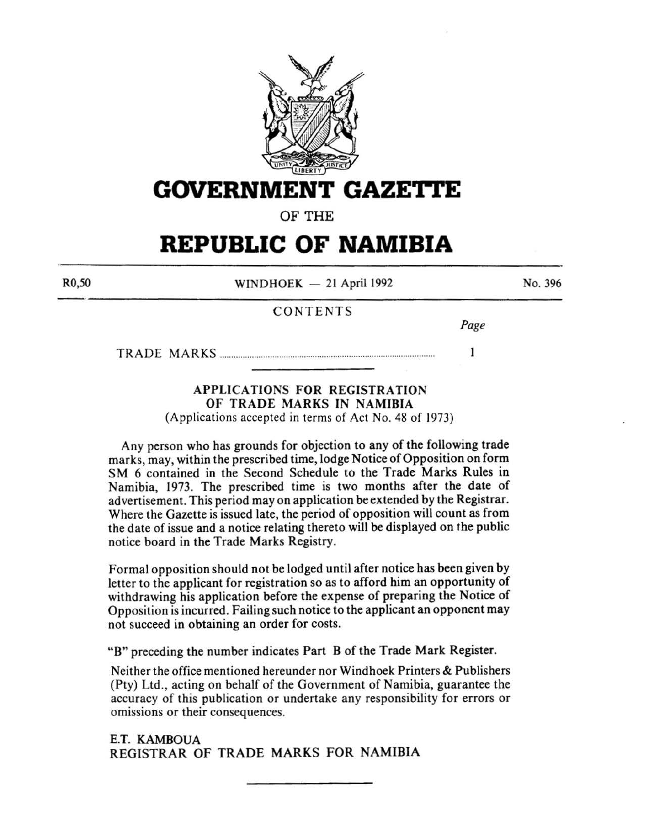

**GOVERNMENT GAZETTE** 

OF THE

# **REPUBLIC OF NAMIBIA**

R0,50

 $WINDHOEK - 21$  April 1992

No. 396

# CONTENTS

*Page* 

 $\mathbf{1}$ 

TRADE MARKS .............................................................................................. .

# APPLICATIONS FOR REGISTRATION OF TRADE MARKS IN NAMIBIA

(Applications accepted in terms of Act No. 48 of 1973)

Any person who has grounds for objection to any of the following trade marks, may, within the prescribed time, lodge Notice of Opposition on form SM 6 contained in the Second Schedule to the Trade Marks Rules in Namibia, 1973. The prescribed time is two months after the date of advertisement. This period may on application be extended by the Registrar. Where the Gazette is issued late, the period of opposition will count as from the date of issue and a notice relating thereto will be displayed on the public notice board in the Trade Marks Registry.

Formal opposition should not be lodged until after notice has been given by letter to the applicant for registration so as to afford him an opportunity of withdrawing his application before the expense of preparing the Notice of Opposition is incurred. Failing such notice to the applicant an opponent may not succeed in obtaining an order for costs.

"B" preceding the number indicates Part B of the Trade Mark Register.

Neither the office mentioned hereunder nor Windhoek Printers & Publishers (Pty) Ltd., acting on behalf of the Government of Namibia, guarantee the accuracy of this publication or undertake any responsibility for errors or omissions or their consequences.

E.T. KAMBOUA REGISTRAR OF TRADE MARKS FOR NAMIBIA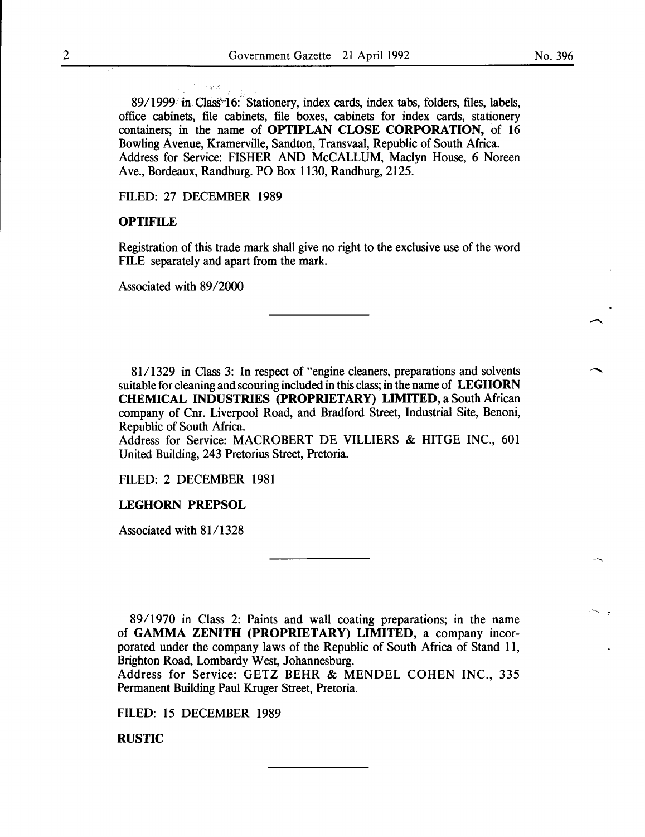89/1999 in Class<sup>\*</sup>16: Stationery, index cards, index tabs, folders, files, labels, office cabinets, file cabinets, file boxes, cabinets for index cards, stationery containers; in the name of OPTIPLAN CLOSE CORPORATION, of 16 Bowling A venue, Kramerville, Sandton, Transvaal, Republic of South Africa. Address for Service: FISHER AND McCALLUM, Maclyn House, 6 Noreen Ave., Bordeaux, Randburg. PO Box 1130, Randburg, 2125.

FILED: 27 DECEMBER 1989

### **OPTIFILE**

Registration of this trade mark shall give no right to the exclusive use of the word FILE separately and apart from the mark.

Associated with 89/2000

81/1329 in Class 3: In respect of "engine cleaners, preparations and solvents suitable for cleaning and scouring included in this class; in the name of LEGHORN CHEMICAL INDUSTRIES (PROPRIETARY) LIMITED, a South African company of Cnr. Liverpool Road, and Bradford Street, Industrial Site, Benoni, Republic of South Africa.

Address for Service: MACROBERT DE VILLIERS & HITGE INC., 601 United Building, 243 Pretorius Street, Pretoria.

FILED: 2 DECEMBER 1981

#### LEGHORN PREPSOL

Associated with 81/1328

89/1970 in Class 2: Paints and wall coating preparations; in the name of GAMMA ZENITH (PROPRIETARY) LIMITED, a company incorporated under the company laws of the Republic of South Africa of Stand 11, Brighton Road, Lombardy West, Johannesburg.

Address for Service: GETZ BEHR & MENDEL COHEN INC., 335 Permanent Building Paul Kruger Street, Pretoria.

FILED: 15 DECEMBER 1989

RUSTIC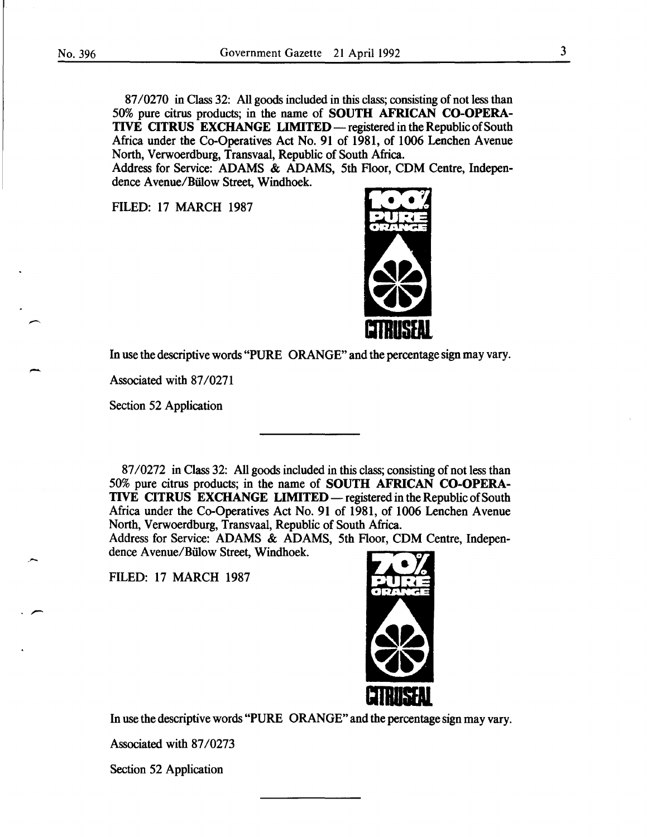87/0270 in Class 32: All goods included in this class; consisting of not less than 50% pure citrus products; in the name of SOUTH AFRICAN CO-OPERA-TIVE CITRUS EXCHANGE LIMITED — registered in the Republic of South Africa under the Co-Operatives Act No. 91 of 1981, of 1006 Lenchen Avenue North, Verwoerdburg, Transvaal, Republic of South Africa.

Address for Service: ADAMS & ADAMS, 5th Floor, CDM Centre, Independence Avenue/Bülow Street, Windhoek.

FILED: 17 MARCH 1987



In use the descriptive words "PURE ORANGE" and the percentage sign may vary.

Associated with 87/0271

Section 52 Application

87/0272 in Class 32: All goods included in this class; consisting of not less than 50% pure citrus products; in the name of SOUTH AFRICAN CO-OPERA-TIVE CITRUS EXCHANGE LIMITED — registered in the Republic of South Africa under the Co-Operatives Act No. 91 of 1981, of 1006 Lenchen Avenue North, Verwoerdburg, Transvaal, Republic of South Africa.

Address for Service: ADAMS & ADAMS, 5th Floor, CDM Centre, Independence Avenue/Bülow Street, Windhoek.

FILED: 17 MARCH 1987

·-



In use the descriptive words "PURE ORANGE" and the percentage sign may vary.

Associated with 87/0273

Section 52 Application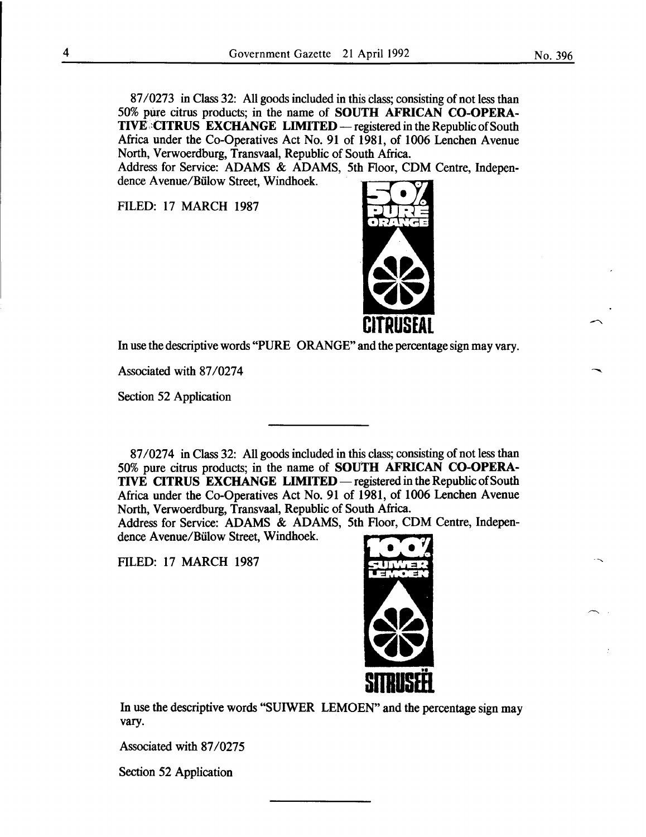87/0273 in Class 32: All goods included in this Class; consisting of not less than 50% pure citrus products; in the name of SOUTH AFRICAN CO-OPERA-TIVE. CITRUS EXCHANGE LIMITED — registered in the Republic of South Africa under the Co-Operatives Act No. 91 of 1981, of 1006 Lenchen Avenue North, Verwoerdburg, Transvaal, Republic of South Africa.

Address for Service: ADAMS & ADAMS, 5th Floor, CDM Centre, Independence A venue/Biilow Street, Windhoek.

FILED: 17 MARCH 1987



In use the descriptive words "PURE ORANGE" and the percentage sign may vary.

Associated with 87/0274

Section 52 Application

87/0274 in Class 32: All goods included in this class; consisting of not less than 50% pure citrus products; in the name of SOUTH AFRICAN CO-OPERA-TIVE CITRUS EXCHANGE LIMITED — registered in the Republic of South Africa under the Co-Operatives Act No. 91 of 1981, of 1006 Lenchen Avenue North, Verwoerdburg, Transvaal, Republic of South Africa.

Address for Service: ADAMS & ADAMS, 5th Floor, CDM Centre, Independence A venue/Biilow Street, Windhoek.

FILED: 17 MARCH 1987



In use the descriptive words "SUIWER LEMOEN" and the percentage sign may vary.

Associated with 87/0275

Section 52 Application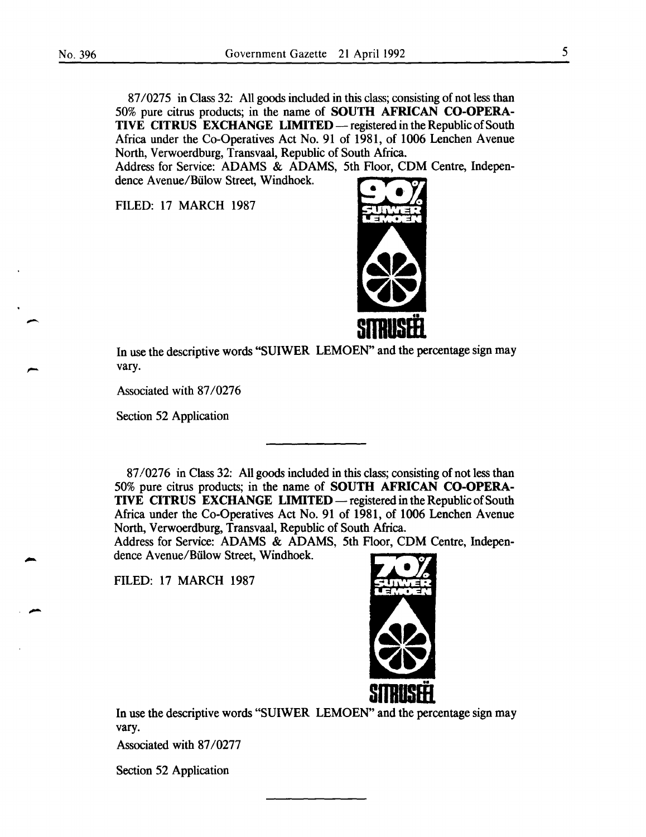87/0275 in Class 32: All goods included in this class; consisting of not less than 50% pure citrus products; in the name of SOUTH AFRICAN CO-OPERA-TIVE CITRUS EXCHANGE LIMITED — registered in the Republic of South Africa under the Co-Operatives Act No. 91 of 1981, of 1006 Lenchen Avenue North, Verwoerdburg, Transvaal, Republic of South Africa.

Address for Service: ADAMS & ADAMS, 5th Floor, CDM Centre, Independence Avenue/Biilow Street, Windhoek.

FILED: 17 MARCH 1987



In use the descriptive words "SUIWER LEMOEN" and the percentage sign may vary.

Associated with 87/0276

Section 52 Application

87/0276 in Class 32: All goods included in this class; consisting of not less than 50% pure citrus products; in the name of SOUTH AFRICAN CO-OPERA-TIVE CITRUS EXCHANGE LIMITED — registered in the Republic of South Africa under the Co-Operatives Act No. 91 of 1981, of 1006 Lenchen Avenue North, Verwoerdburg, Transvaal, Republic of South Africa.

Address for Service: ADAMS & ADAMS, 5th Floor, CDM Centre, Independence A venue/Biilow Street, Windhoek.

FILED: 17 MARCH 1987



In use the descriptive words "SUIWER LEMOEN" and the percentage sign may vary.

Associated with 87/0277

Section 52 Application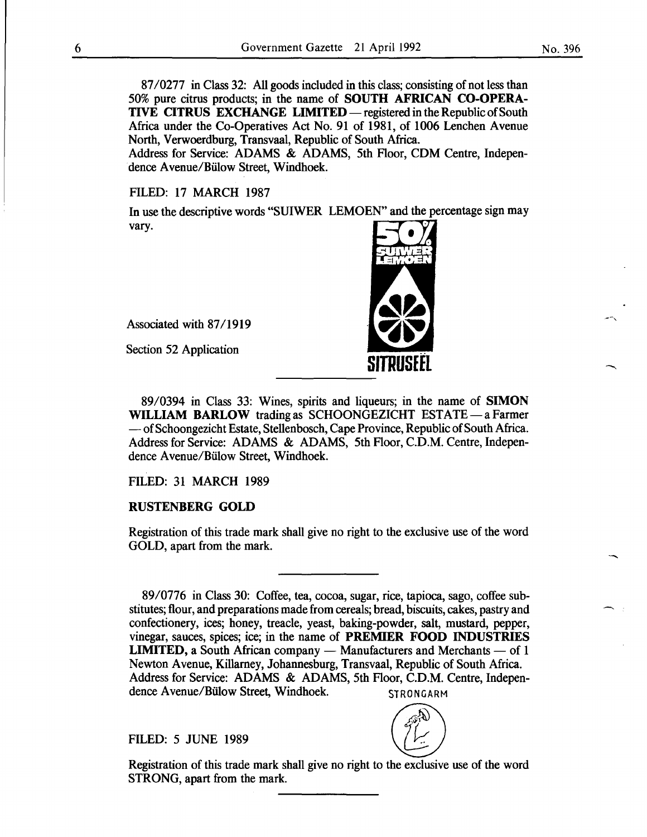87/0277 in Class 32: All goods included in this class; consisting of not less than 50% pure citrus products; in the name of SOUTH AFRICAN CO-OPERA-TIVE CITRUS EXCHANGE LIMITED — registered in the Republic of South Africa under the Co-Operatives Act No. 91 of 1981, of 1006 Lenchen Avenue North, Verwoerdburg, Transvaal, Republic of South Africa.

Address for Service: ADAMS & ADAMS, 5th Floor, CDM Centre, Independence A venue/Biilow Street, Windhoek.

FILED: 17 MARCH 1987

In use the descriptive words "SUIWER LEMOEN" and the percentage sign may vary.

Associated with 87/1919

Section 52 Application

89/0394 in Class 33: Wines, spirits and liqueurs; in the name of SIMON WILLIAM BARLOW trading as SCHOONGEZICHT ESTATE - a Farmer  $-$  of Schoongezicht Estate, Stellenbosch, Cape Province, Republic of South Africa. Address for Service: ADAMS & ADAMS, 5th Floor, C.D.M. Centre, Independence A venue/Biilow Street, Windhoek.

# FILED: 31 MARCH 1989

### RUSTENBERG GOLD

Registration of this trade mark shall give no right to the exclusive use of the word GOLD, apart from the mark.

89/0776 in Class 30: Coffee, tea, cocoa, sugar, rice, tapioca, sago, coffee substitutes; flour, and preparations made from cereals; bread, biscuits, cakes, pastry and confectionery, ices; honey, treacle, yeast, baking-powder, salt, mustard, pepper, vinegar, sauces, spices; ice; in the name of PREMIER FOOD INDUSTRIES **LIMITED, a South African company — Manufacturers and Merchants — of 1** Newton Avenue, Killarney, Johannesburg, Transvaal, Republic of South Africa. Address for Service: ADAMS & ADAMS, 5th Floor, C.D.M. Centre, Independence Avenue/Bülow Street, Windhoek. STRONGARM

FILED: 5 JUNE 1989  $\left(\begin{matrix} 5^{3/2} \\ 1 \end{matrix}\right)$ 

Registration of this trade mark shall give no right to the exclusive use of the word STRONG, apart from the mark.

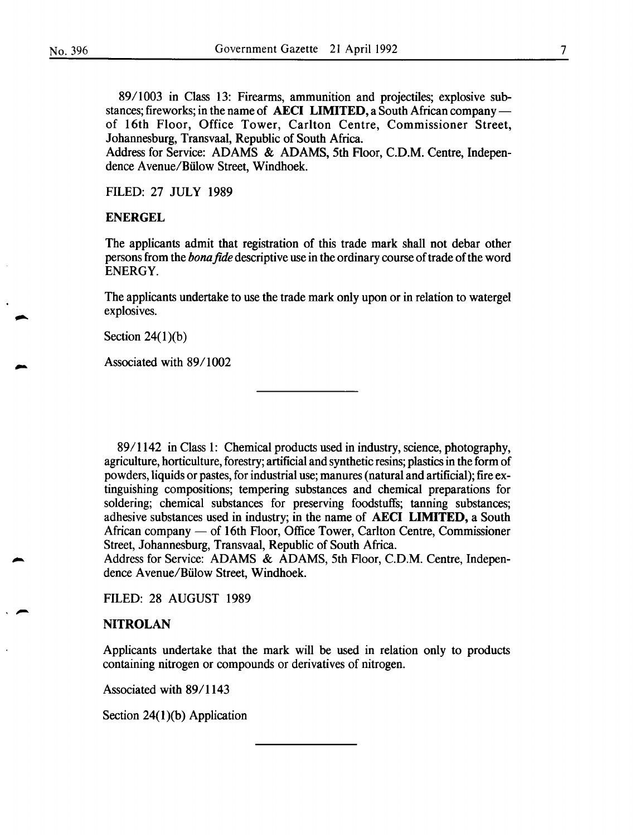89/1003 in Class 13: Firearms, ammunition and projectiles; explosive substances; fireworks; in the name of AECI LIMITED, a South African companyof 16th Floor, Office Tower, Carlton Centre, Commissioner Street, Johannesburg, Transvaal, Republic of South Africa.

Address for Service: ADAMS & ADAMS, 5th Floor, C.D.M. Centre, Independence A venue/Biilow Street, Windhoek.

FILED: 27 JULY 1989

#### ENERGEL

The applicants admit that registration of this trade mark shall not debar other persons from the *bona fide* descriptive use in the ordinary course of trade of the word ENERGY.

The applicants undertake to use the trade mark only upon or in relation to watergel explosives.

Section  $24(1)(b)$ 

Associated with 89/1002

89/1142 in Class 1: Chemical products used in industry, science, photography, agriculture, horticulture, forestry; artificial and synthetic resins; plastics in the form of powders, liquids or pastes, for industrial use; manures (natural and artificial); fire extinguishing compositions; tempering substances and chemical preparations for soldering; chemical substances for preserving foodstuffs; tanning substances; adhesive substances used in industry; in the name of AECI LIMITED, a South African company — of 16th Floor, Office Tower, Carlton Centre, Commissioner Street, Johannesburg, Transvaal, Republic of South Africa.

Address for Service: ADAMS & ADAMS, 5th Floor, C.D.M. Centre, Independence A venue/Biilow Street, Windhoek.

FILED: 28 AUGUST 1989

# **NITROLAN**

Applicants undertake that the mark will be used in relation only to products containing nitrogen or compounds or derivatives of nitrogen.

Associated with 89/1143

Section  $24(1)(b)$  Application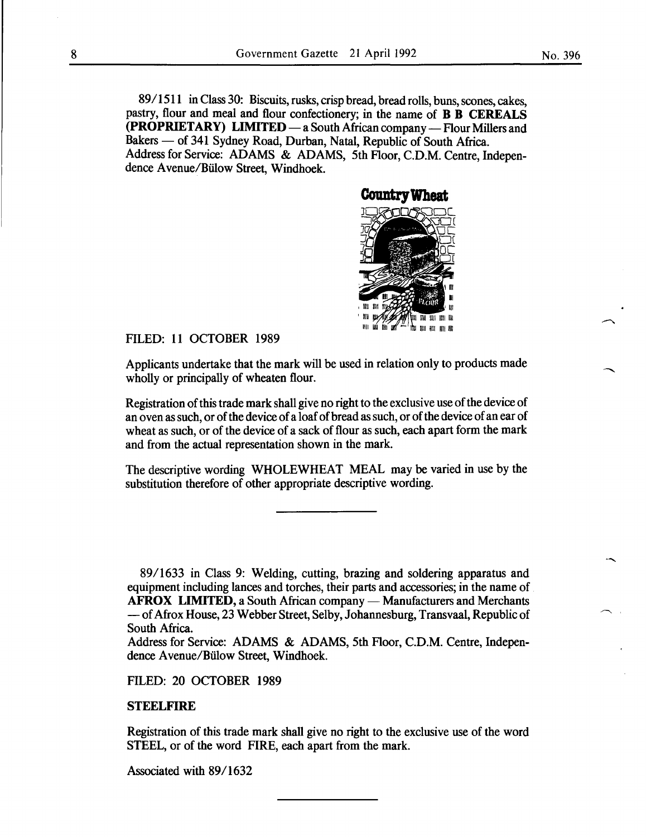89/1511 in Class 30: Biscuits, rusks, crisp bread, bread rolls, buns, scones, cakes, pastry, flour and meal and flour confectionery; in the name of **B B CEREALS (PROPRIETARY) LIMITED** — a South African company — Flour Millers and Bakers - of 341 Sydney Road, Durban, Natal, Republic of South Africa. Address for Service: ADAMS & ADAMS, 5th Floor, C.D.M. Centre, Independence A venue/Biilow Street, Windhoek.



FILED: 11 OCTOBER 1989

Applicants undertake that the mark will be used in relation only to products made wholly or principally of wheaten flour.

Registration of this trade mark shall give no right to the exclusive use of the device of an oven *as* such, or of the device of a loaf of bread *as* such, or of the device of an ear of wheat as such, or of the device of a sack of flour *as* such, each apart form the mark and from the actual representation shown in the mark.

The descriptive wording WHOLEWHEAT MEAL may be varied in use by the substitution therefore of other appropriate descriptive wording.

8911633 in Class 9: Welding, cutting, brazing and soldering apparatus and equipment including lances and torches, their parts and accessories; in the name of **AFROX LIMITED, a South African company — Manufacturers and Merchants** -of Afrox House, 23 Webber Street, Selby, Johannesburg, Transvaal, Republic of South Africa.

Address for Service: ADAMS & ADAMS, 5th Floor, C.D.M. Centre, Independence A venue/Biilow Street, Windhoek.

FILED: 20 OCTOBER 1989

### **STEELFIRE**

Registration of this trade mark shall give no right to the exclusive use of the word STEEL, or of the word FIRE, each apart from the mark.

Associated with 89/1632

 $\overline{\phantom{a}}$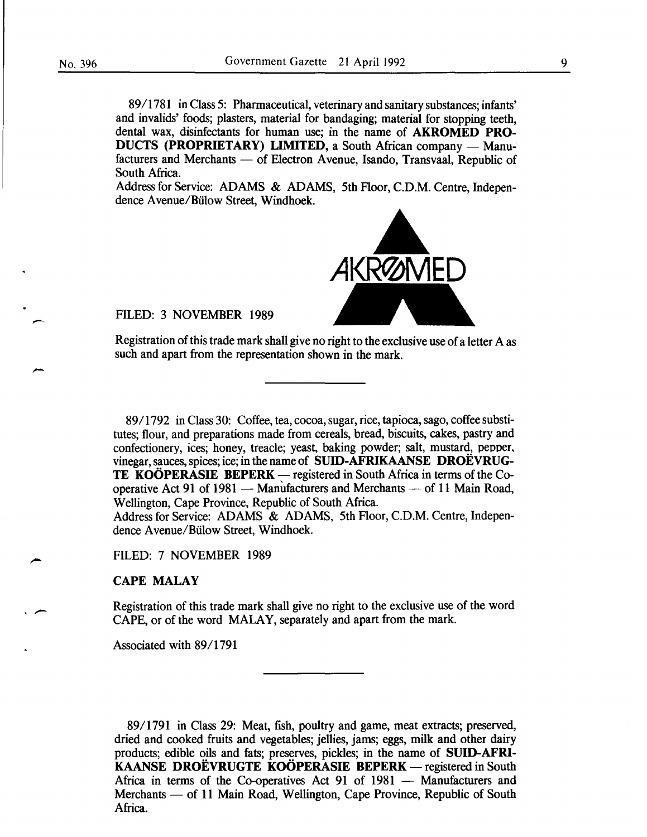--

89/1781 in Class 5: Pharmaceutical, veterinary and sanitary substances; infants' and invalids' foods; plasters, material for bandaging; material for stopping teeth, dental wax, disinfectants for human use; in the name of AKROMED PRO-DUCTS (PROPRIETARY) LIMITED, a South African company - Manufacturers and Merchants - of Electron Avenue, Isando, Transvaal, Republic of South Africa.

Address for Service: ADAMS & ADAMS, 5th Floor, C.D.M. Centre, Independence A venue/Biilow Street, Windhoek.



FILED: 3 NOVEMBER 1989

Registration of this trade mark shall give no right to the exclusive use of a letter A as such and apart from the representation shown in the mark.

89/1792 in Class 30: Coffee, tea, cocoa, sugar, rice, tapioca, sago, coffee substitutes; flour, and preparations made from cereals, bread, biscuits, cakes, pastry and confectionery, ices; honey, treacle; yeast, baking powder; salt, mustard, pepper, vinegar, sauces, spices; ice; in the name of SUID-AFRIKAANSE DROEVRUG-TE KOÖPERASIE BEPERK — registered in South Africa in terms of the Cooperative Act 91 of 1981  $-$  Manufacturers and Merchants  $-$  of 11 Main Road, Wellington, Cape Province, Republic of South Africa.

Address for Service: ADAMS & ADAMS, 5th Floor, C.D.M. Centre, Independence A venue/Biilow Street, Windhoek.

FILED: 7 NOVEMBER 1989

### CAPE MALAY

Registration of this trade mark shall give no right to the exclusive use of the word CAPE, or of the word MALAY, separately and apart from the mark.

Associated with 89/1791

89/1791 in Class 29: Meat, fish, poultry and game, meat extracts; preserved, dried and cooked fruits and vegetables; jellies, jams; eggs, milk and other dairy products; edible oils and fats; preserves, pickles; in the name of SUID-AFRI-KAANSE DROËVRUGTE KOÖPERASIE BEPERK - registered in South Africa in terms of the Co-operatives Act 91 of 1981 - Manufacturers and Merchants — of 11 Main Road, Wellington, Cape Province, Republic of South Africa.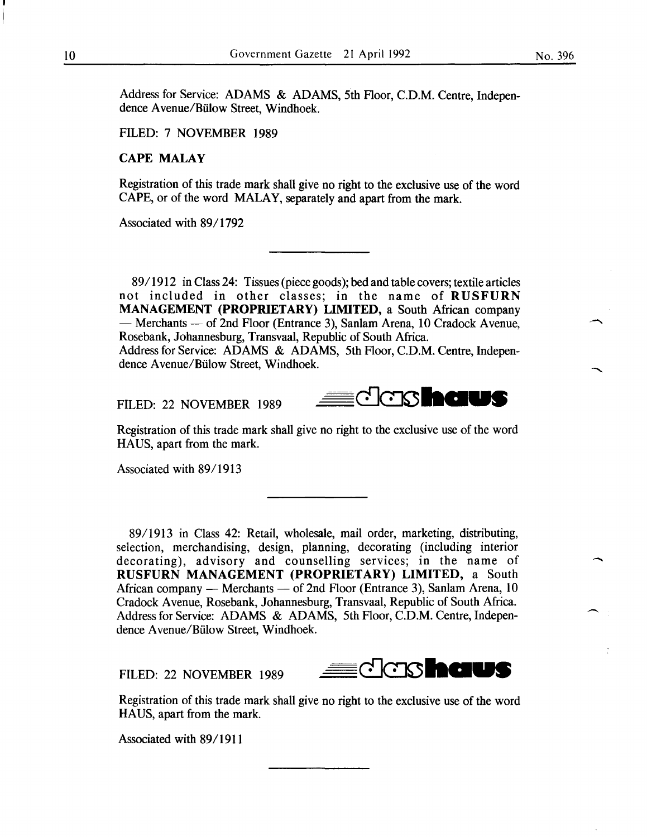Address for Service: ADAMS & ADAMS, 5th Floor, C.D.M. Centre, Independence Avenue/Bülow Street, Windhoek.

FILED: 7 NOVEMBER 1989

# CAPE MALAY

Registration of this trade mark shall give no right to the exclusive use of the word CAPE, or of the word MALAY, separately and apart from the mark.

Associated with 89/1792

89/1912 in Class 24: Tissues (piece goods); bed and table covers; textile articles not included in other classes; in the name of RUSFURN MANAGEMENT (PROPRIETARY) LIMITED, a South African company - Merchants - of 2nd Floor (Entrance 3), Sanlam Arena, 10 Cradock Avenue, Rosebank, Johannesburg, Transvaal, Republic of South Africa.

Address for Service: ADAMS & ADAMS, 5th Floor, C.D.M. Centre, Independence Avenue/Bülow Street, Windhoek.

FILED: 22 NOVEMBER 1989



Registration of this trade mark shall give no right to the exclusive use of the word HAUS, apart from the mark.

Associated with 89/1913

89/1913 in Class 42: Retail, wholesale, mail order, marketing, distributing, selection, merchandising, design, planning, decorating (including interior decorating), advisory and counselling services; in the name of RUSFURN MANAGEMENT (PROPRIETARY) LIMITED, a South African company - Merchants - of 2nd Floor (Entrance 3), Sanlam Arena, 10 Cradock Avenue, Rosebank, Johannesburg, Transvaal, Republic of South Africa. Address for Service: ADAMS & ADAMS, 5th Floor, C.D.M. Centre, Independence Avenue/Bülow Street, Windhoek.

FILED: 22 NOVEMBER 1989



Registration of this trade mark shall give no right to the exclusive use of the word HA US, apart from the mark.

Associated with 89/1911

-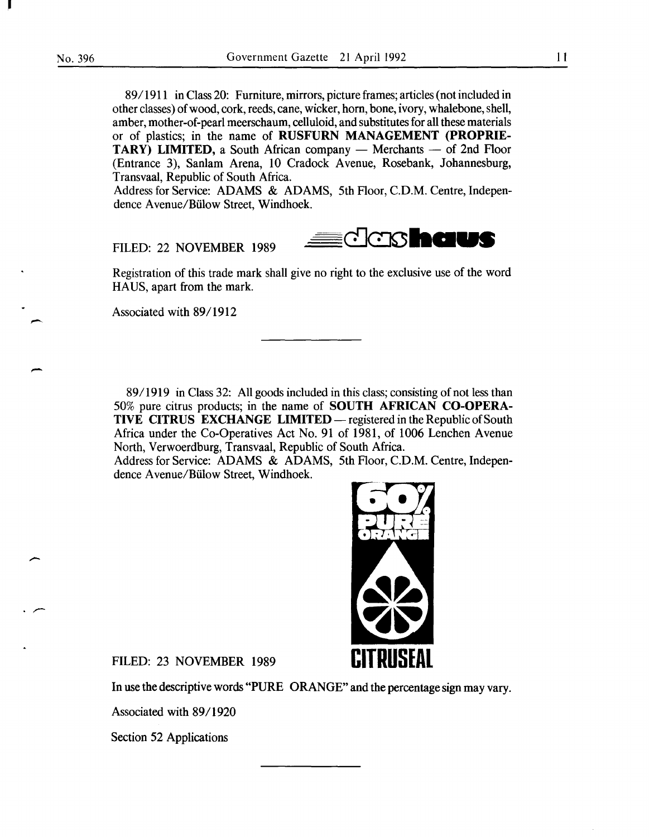-

-

 $\cdot$   $\sim$ 

89/1911 in Class 20: Furniture, mirrors, picture frames; articles (not included in other classes) of wood, cork, reeds, cane, wicker, horn, bone, ivory, whalebone, shell, amber, mother-of-pearl meerschaum, celluloid, and substitutes for all these materials or of plastics; in the name of RUSFURN MANAGEMENT (PROPRIE-TARY) LIMITED, a South African company  $-$  Merchants  $-$  of 2nd Floor (Entrance 3), Sanlam Arena, 10 Cradock Avenue, Rosebank, Johannesburg, Transvaal, Republic of South Africa.

Address for Service: ADAMS & ADAMS, 5th Floor, C.D.M. Centre, Independence A venue/Biilow Street, Windhoek.

FILED: 22 NOVEMBER 1989



Registration of this trade mark shall give no right to the exclusive use of the word HAUS, apart from the mark.

Associated with 89/1912

89/1919 in Class 32: All goods included in this class; consisting of not less than 50% pure citrus products; in the name of SOUTH AFRICAN CO-OPERA-TIVE CITRUS EXCHANGE LIMITED — registered in the Republic of South Africa under the Co-Operatives Act No. 91 of 1981, of 1006 Lenchen Avenue North, Verwoerdburg, Transvaal, Republic of South Africa.

Address for Service: ADAMS & ADAMS, 5th Floor, C.D.M. Centre, Independence A venue/Biilow Street, Windhoek.



FILED: 23 NOVEMBER 1989

In use the descriptive words "PURE ORANGE" and the percentage sign may vary.

Associated with 89/1920

Section 52 Applications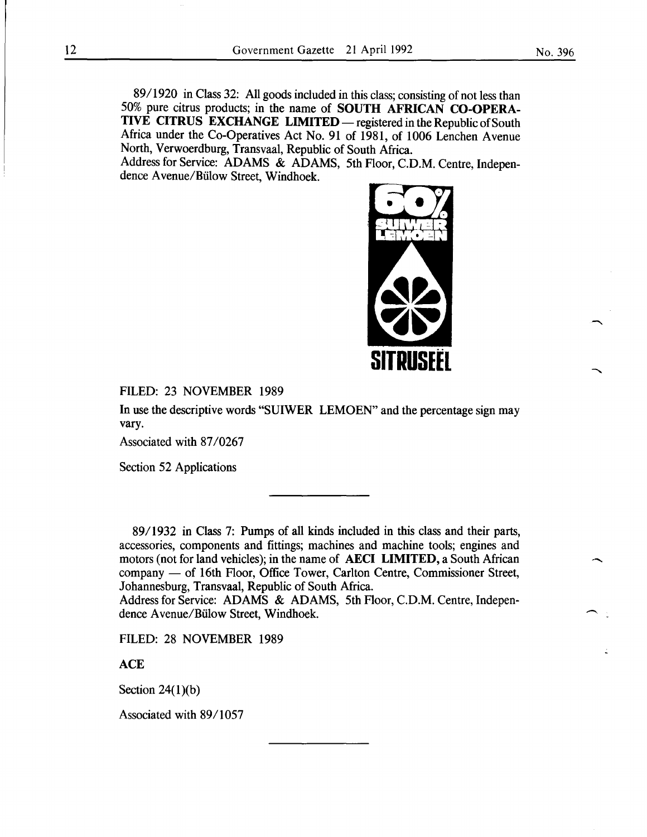89/1920 in Class 32: All goods included in this class; consisting of not less than 50% pure citrus products; in the name of SOUTH AFRICAN CO-OPERA-TIVE CITRUS EXCHANGE LIMITED — registered in the Republic of South Africa under the Co-Operatives Act No. 91 of 1981, of 1006 Lenchen Avenue North, Verwoerdburg, Transvaal, Republic of South Africa.

Address for Service: ADAMS & ADAMS, 5th Floor, C.D.M. Centre, Independence Avenue/Biilow Street, Windhoek.



FILED: 23 NOVEMBER 1989

In use the descriptive words "SUIWER LEMOEN" and the percentage sign may vary.

Associated with 87/0267

Section 52 Applications

89/1932 in Class 7: Pumps of all kinds included in this class and their parts, accessories, components and fittings; machines and machine tools; engines and motors (not for land vehicles); in the name of AECI LIMITED, a South African company — of 16th Floor, Office Tower, Carlton Centre, Commissioner Street, Johannesburg, Transvaal, Republic of South Africa.

Address for Service: ADAMS & ADAMS, 5th Floor, C.D.M. Centre, Independence A venue/Biilow Street, Windhoek.

FILED: 28 NOVEMBER 1989

**ACE** 

Section  $24(1)(b)$ 

Associated with 89/1057

-

-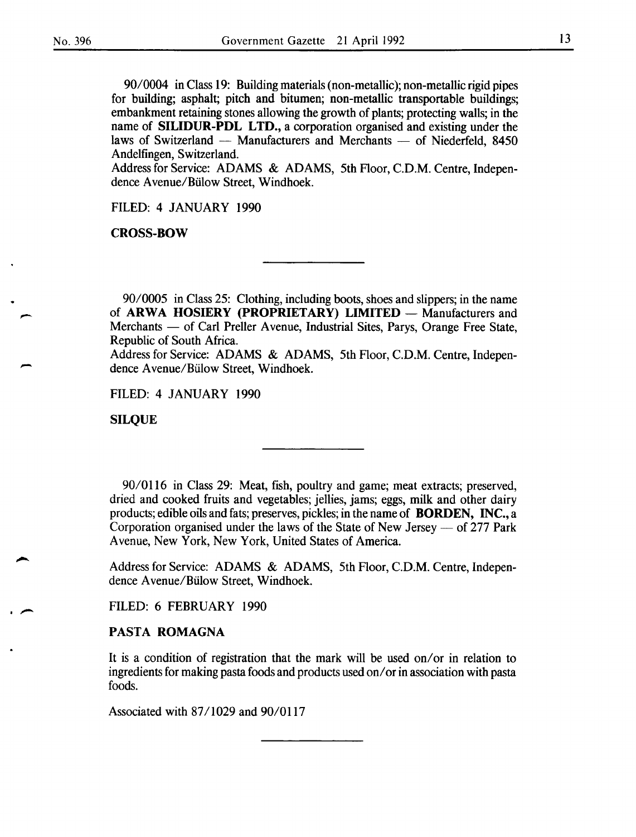-

90/0004 in Class 19: Building materials (non-metallic); non-metallic rigid pipes for building; asphalt; pitch and bitumen; non-metallic transportable buildings; embankment retaining stones allowing the growth of plants; protecting walls; in the name of SILIDUR-PDL LTD., a corporation organised and existing under the laws of Switzerland - Manufacturers and Merchants - of Niederfeld, 8450 Andelfingen, Switzerland.

Address for Service: ADAMS & ADAMS, 5th Floor, C.D.M. Centre, Independence Avenue/Biilow Street, Windhoek.

FILED: 4 JANUARY 1990

CROSS-BOW

90/0005 in Class 25: Clothing, including boots, shoes and slippers; in the name of ARWA HOSIERY (PROPRIETARY) LIMITED - Manufacturers and Merchants — of Carl Preller Avenue, Industrial Sites, Parys, Orange Free State, Republic of South Africa.

Address for Service: ADAMS & ADAMS, 5th Floor, C.D.M. Centre, Independence A venue/Biilow Street, Windhoek.

FILED: 4 JANUARY 1990

SILQUE

90/0116 in Class 29: Meat, fish, poultry and game; meat extracts; preserved, dried and cooked fruits and vegetables; jellies, jams; eggs, milk and other dairy products; edible oils and fats; preserves, pickles; in the name of BORDEN, INC., a Corporation organised under the laws of the State of New Jersey  $-$  of 277 Park Avenue, New York, New York, United States of America.

Address for Service: ADAMS & ADAMS, 5th Floor, C.D.M. Centre, Independence A venue/Biilow Street, Windhoek.

FILED: 6 FEBRUARY 1990

## PASTA ROMAGNA

It is a condition of registration that the mark will be used on/or in relation to ingredients for making pasta foods and products used on/ or in association with pasta foods.

Associated with 87/1029 and 90/0117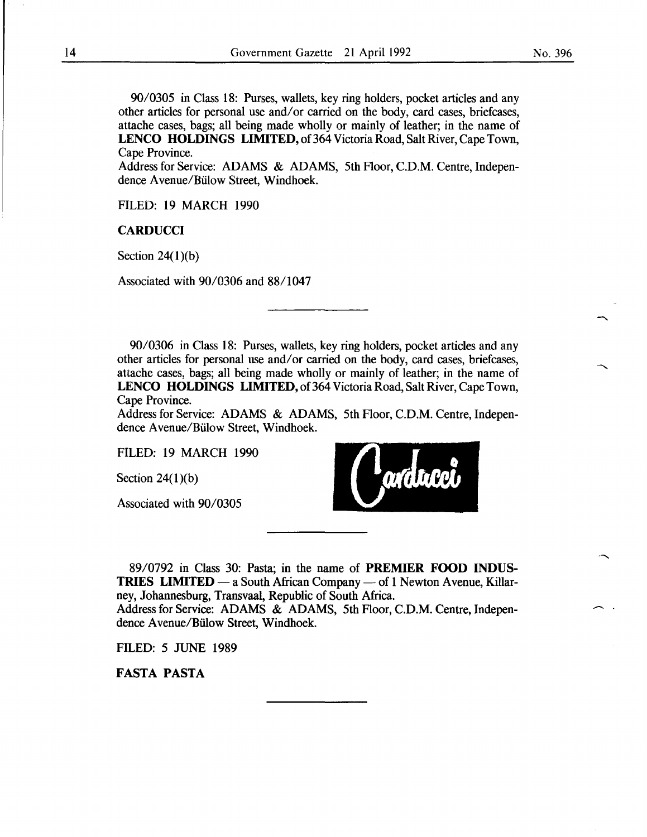90/0305 in Class 18: Purses, wallets, key ring holders, pocket articles and any other articles for personal use and/or carried on the body, card cases, briefcases, attache cases, bags; all being made wholly or mainly of leather; in the name of LENCO HOLDINGS LIMITED, of 364 Victoria Road, Salt River, Cape Town, Cape Province.

Address for Service: ADAMS & ADAMS, 5th Floor, C.D.M. Centre, Independence A venue/Biilow Street, Windhoek.

FILED: 19 MARCH 1990

**CARDUCCI** 

Section  $24(1)(b)$ 

Associated with 90/0306 and 88/1047

90/0306 in Class 18: Purses, wallets, key ring holders, pocket articles and any other articles for personal use and/or carried on the body, card cases, briefcases, attache cases, bags; all being made wholly or mainly of leather; in the name of LENCO HOLDINGS LIMITED, of 364 Victoria Road, Salt River, Cape Town, Cape Province.

Address for Service: ADAMS & ADAMS, 5th Floor, C.D.M. Centre, Independence Avenue/Biilow Street, Windhoek.

FILED: 19 MARCH 1990

Section  $24(1)(b)$ 

Associated with 90/0305



89/0792 in Class 30: Pasta; in the name of PREMIER FOOD INDUS-**TRIES LIMITED**  $-$  a South African Company  $-$  of 1 Newton Avenue, Killarney, Johannesburg, Transvaal, Republic of South Africa. Address for Service: ADAMS & ADAMS, 5th Floor, C.D.M. Centre, Independence A venue/Biilow Street, Windhoek.

FILED: 5 JUNE 1989

FASTA PASTA

 $\overline{\phantom{a}}$ .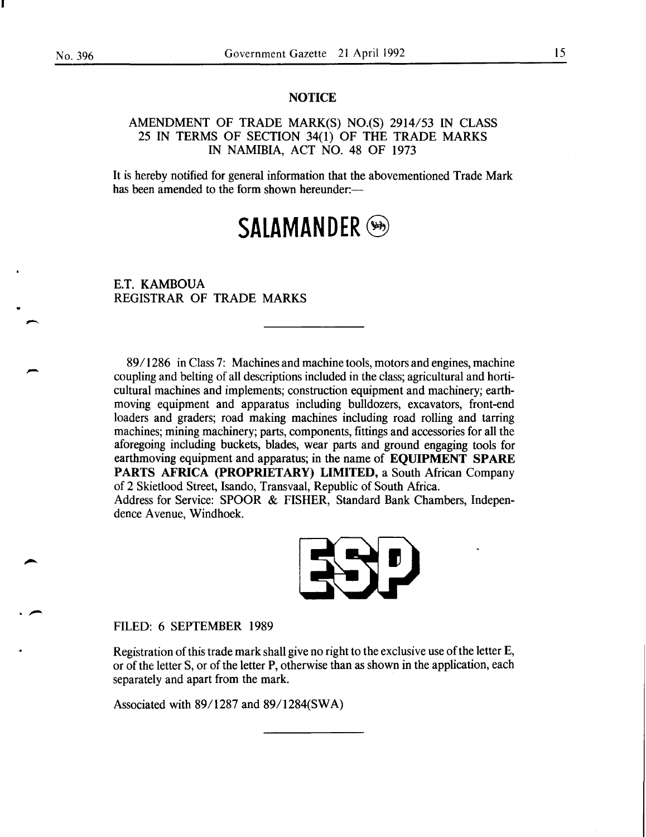.~

# **NOTICE**

AMENDMENT OF TRADE MARK(S) NO.(S) 2914/53 IN CLASS 25 IN TERMS OF SECTION 34(1) OF THE TRADE MARKS IN NAMIBIA, ACT NO. 48 OF 1973

It is hereby notified for general information that the abovementioned Trade Mark has been amended to the form shown hereunder:-

# SALAMANDER (SA)

E.T. KAMBOUA REGISTRAR OF TRADE MARKS

89/1286 in Class 7: Machines and machine tools, motors and engines, machine coupling and belting of all descriptions included in the class; agricultural and horticultural machines and implements; construction equipment and machinery; earthmoving equipment and apparatus including bulldozers, excavators, front-end loaders and graders; road making machines including road rolling and tarring machines; mining machinery; parts, components, fittings and accessories for all the aforegoing including buckets, blades, wear parts and ground engaging tools for earthmoving equipment and apparatus; in the name of EQUIPMENT SPARE PARTS AFRICA (PROPRIETARY) LIMITED, a South African Company of 2 Skietlood Street, Isando, Transvaal, Republic of South Africa. Address for Service: SPOOR & FISHER, Standard Bank Chambers, Indepen-

dence Avenue, Windhoek.



FILED: 6 SEPTEMBER 1989

Registration of this trade mark shall give no right to the exclusive use of the letter E, or of the letter S, or of the letter P, otherwise than as shown in the application, each separately and apart from the mark.

Associated with 89/1287 and 89/1284(SWA)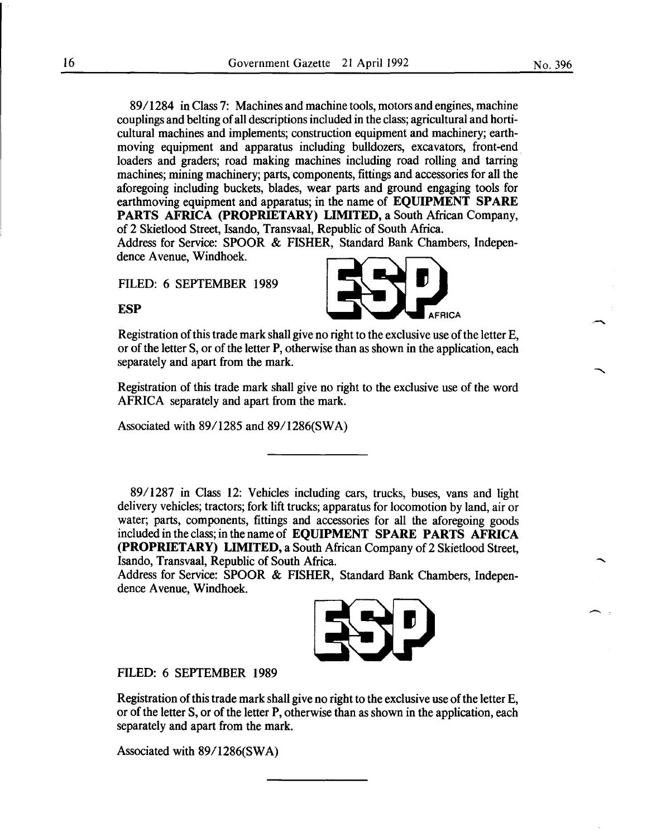89/1284 in Class 7: Machines and machine tools, motors and engines, machine couplings and belting of all descriptions included in the class; agricultural and horticultural machines and implements; construction equipment and machinery; earthmoving equipment and apparatus including bulldozers, excavators, front-end loaders and graders; road making machines including road rolling and tarring machines; mining machinery; parts, components, fittings and accessories for all the aforegoing including buckets, blades, wear parts and ground engaging tools for earthmoving equipment and apparatus; in the name of **EQUIPMENT SPARE**  PARTS AFRICA (PROPRIETARY) LIMITED, a South African Company, of 2 Skietlood Street, Isando, Transvaal, Republic of South Africa.

Address for Service: SPOOR & FISHER, Standard Bank Chambers, Independence Avenue, Windhoek.

FILED: 6 SEPTEMBER 1989

**ESP** 

Registration of this trade mark shall give no right to the exclusive use of the letter E, or of the letter S, or of the letter **P,** otherwise than as shown in the application, each separately and apart from the mark.

Registration of this trade mark shall give no right to the exclusive use of the word AFRICA separately and apart from the mark.

Associated with 89/1285 and 89/1286(SWA)

89/1287 in Class 12: Vehicles including cars, trucks, buses, vans and light delivery vehicles; tractors; fork lift trucks; apparatus for locomotion by land, air or water; parts, components, fittings and accessories for all the aforegoing goods included in the class; in the name of **EQUIPMENT SPARE PARTS AFRICA (PROPRIETARY) LIMITED,** a South African Company of2 Skietlood Street, Isando, Transvaal, Republic of South Africa.

Address for Service: SPOOR & FISHER, Standard Bank Chambers, Independence Avenue, Windhoek.

FILED: 6 SEPTEMBER 1989

Registration of this trade mark shall give no right to the exclusive use of the letter E, or of the letter S, or of the letter **P,** otherwise than as shown in the application, each separately and apart from the mark.

Associated with 89/1286(SWA)

No. 396

 $\overline{\phantom{a}}$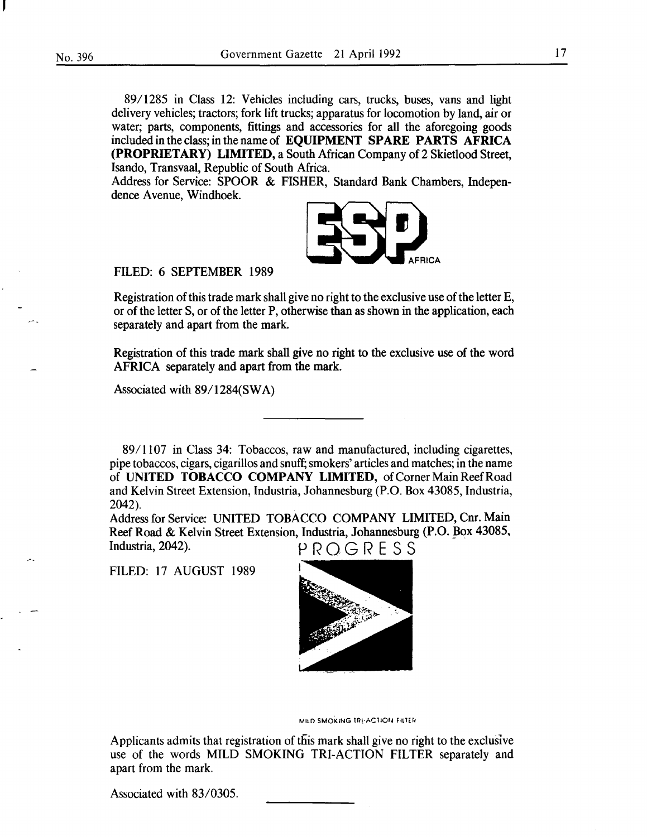8911285 in Class 12: Vehicles including cars, trucks, buses, vans and light delivery vehicles; tractors; fork lift trucks; apparatus for locomotion by land, air or water; parts, components, fittings and accessories for all the aforegoing goods included in the class; in the name of EQUIPMENT SPARE PARTS AFRICA (PROPRIETARY) LIMITED, a South African Company of 2 Skietlood Street, Isando, Transvaal, Republic of South Africa.

Address for Service: SPOOR & FISHER, Standard Bank Chambers, Independence Avenue, Windhoek.



#### FILED: 6 SEPTEMBER 1989

Registration of this trade mark shall give no right to the exclusive use of the letter E, or of the letter S, or of the letter P, otherwise than as shown in the application, each separately and apart from the mark.

Registration of this trade mark shall give no right to the exclusive use of the word AFRICA separately and apart from the mark.

Associated with 89/1284(SWA)

89/1107 in Class 34: Tobaccos, raw and manufactured, including cigarettes, pipe tobaccos, cigars, cigarillos and snuff; smokers' articles and matches; in the name of UNITED TOBACCO COMPANY LIMITED, of Corner Main Reef Road and Kelvin Street Extension, Industria, Johannesburg (P.O. Box 43085, Industria, 2042).

Address for Service: UNITED TOBACCO COMPANY LIMITED, Cnr. Main Reef Road & Kelvin Street Extension, Industria, Johannesburg (P.O. Box 43085, Industria, 2042).  $P R O G R E S S$ 

FILED: 17 AUGUST 1989



MILD SMOKING TRI-ACTION FILTER

Applicants admits that registration of this mark shall give no right to the exclusive use of the words MILD SMOKING TRI-ACTION FILTER separately and apart from the mark.

Associated with 83/0305.